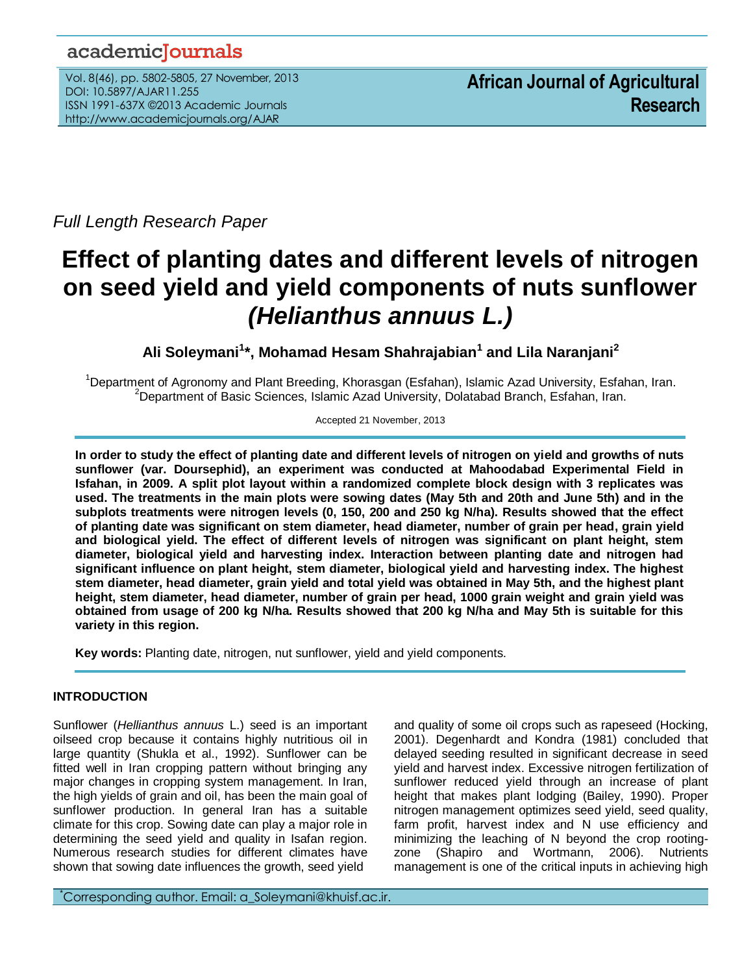# academicJournals

Vol. 8(46), pp. 5802-5805, 27 November, 2013 DOI: 10.5897/AJAR11.255 ISSN 1991-637X ©2013 Academic Journals http://www.academicjournals.org/AJAR

*Full Length Research Paper*

# **Effect of planting dates and different levels of nitrogen on seed yield and yield components of nuts sunflower**  *(Helianthus annuus L.)*

**Ali Soleymani<sup>1</sup> \*, Mohamad Hesam Shahrajabian<sup>1</sup> and Lila Naranjani<sup>2</sup>**

<sup>1</sup>Department of Agronomy and Plant Breeding, Khorasgan (Esfahan), Islamic Azad University, Esfahan, Iran.  ${}^{2}$ Department of Basic Sciences, Islamic Azad University, Dolatabad Branch, Esfahan, Iran.

Accepted 21 November, 2013

**In order to study the effect of planting date and different levels of nitrogen on yield and growths of nuts sunflower (var. Doursephid), an experiment was conducted at Mahoodabad Experimental Field in Isfahan, in 2009. A split plot layout within a randomized complete block design with 3 replicates was used. The treatments in the main plots were sowing dates (May 5th and 20th and June 5th) and in the subplots treatments were nitrogen levels (0, 150, 200 and 250 kg N/ha). Results showed that the effect of planting date was significant on stem diameter, head diameter, number of grain per head, grain yield and biological yield. The effect of different levels of nitrogen was significant on plant height, stem diameter, biological yield and harvesting index. Interaction between planting date and nitrogen had significant influence on plant height, stem diameter, biological yield and harvesting index. The highest stem diameter, head diameter, grain yield and total yield was obtained in May 5th, and the highest plant height, stem diameter, head diameter, number of grain per head, 1000 grain weight and grain yield was obtained from usage of 200 kg N/ha. Results showed that 200 kg N/ha and May 5th is suitable for this variety in this region.**

**Key words:** Planting date, nitrogen, nut sunflower, yield and yield components.

# **INTRODUCTION**

Sunflower (*Hellianthus annuus* L.) seed is an important oilseed crop because it contains highly nutritious oil in large quantity (Shukla et al., 1992). Sunflower can be fitted well in Iran cropping pattern without bringing any major changes in cropping system management. In Iran, the high yields of grain and oil, has been the main goal of sunflower production. In general Iran has a suitable climate for this crop. Sowing date can play a major role in determining the seed yield and quality in Isafan region. Numerous research studies for different climates have shown that sowing date influences the growth, seed yield

and quality of some oil crops such as rapeseed (Hocking, 2001). Degenhardt and Kondra (1981) concluded that delayed seeding resulted in significant decrease in seed yield and harvest index. Excessive nitrogen fertilization of sunflower reduced yield through an increase of plant height that makes plant lodging (Bailey, 1990). Proper nitrogen management optimizes seed yield, seed quality, farm profit, harvest index and N use efficiency and minimizing the leaching of N beyond the crop rootingzone (Shapiro and Wortmann, 2006). Nutrients management is one of the critical inputs in achieving high

\*Corresponding author. Email: a\_Soleymani@khuisf.ac.ir.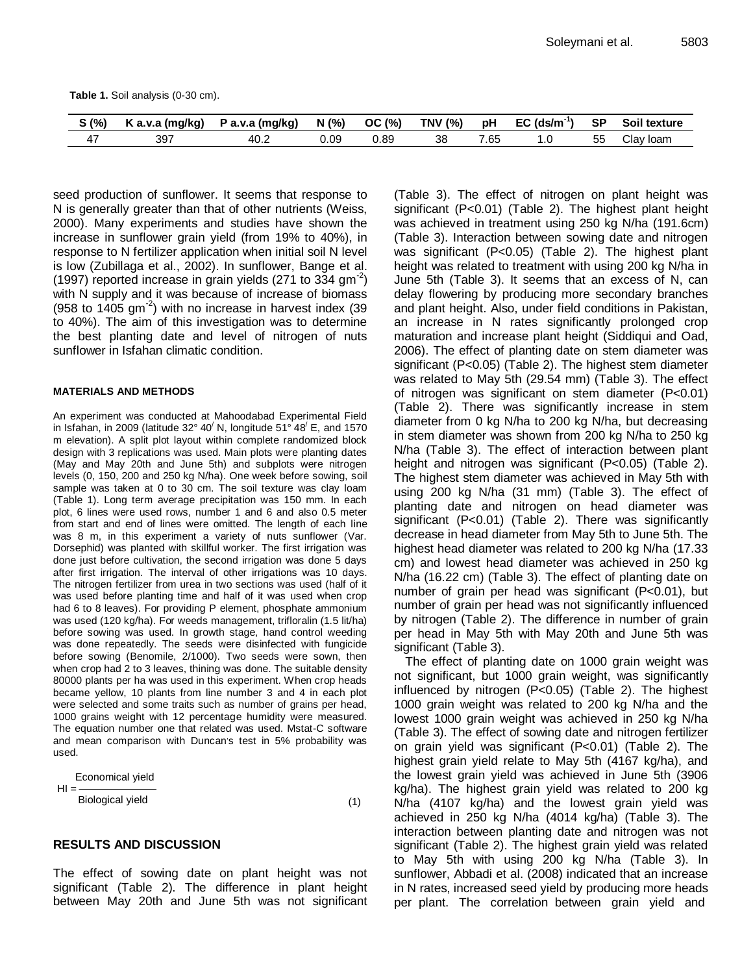**Table 1.** Soil analysis (0-30 cm).

| S(% | ≀ (ma/ka)<br>. a.v.a | (ma/ka)<br>a.v.a<br>. ש | N(%  | OC(%) | <b>TNV (%)</b> | рH   | -13<br>$EC$ (ds/m) | <b>SP</b> | Soil<br>texture    |
|-----|----------------------|-------------------------|------|-------|----------------|------|--------------------|-----------|--------------------|
| 4,  | 397                  | 40.2                    | J.O9 | 0.89  | 38             | 7.65 | . .U               | 55        | <b>loam</b><br>اند |

seed production of sunflower. It seems that response to N is generally greater than that of other nutrients (Weiss, 2000). Many experiments and studies have shown the increase in sunflower grain yield (from 19% to 40%), in response to N fertilizer application when initial soil N level is low (Zubillaga et al., 2002). In sunflower, Bange et al. (1997) reported increase in grain yields (271 to 334 gm<sup>-2</sup>) with N supply and it was because of increase of biomass (958 to  $1405$  gm<sup>-2</sup>) with no increase in harvest index (39 to 40%). The aim of this investigation was to determine the best planting date and level of nitrogen of nuts sunflower in Isfahan climatic condition.

#### **MATERIALS AND METHODS**

An experiment was conducted at Mahoodabad Experimental Field in Isfahan, in 2009 (latitude  $32^{\circ}$  40<sup> $\prime$ </sup> N, longitude 51° 48<sup> $\prime$ </sup> E, and 1570 m elevation). A split plot layout within complete randomized block design with 3 replications was used. Main plots were planting dates (May and May 20th and June 5th) and subplots were nitrogen levels (0, 150, 200 and 250 kg N/ha). One week before sowing, soil sample was taken at 0 to 30 cm. The soil texture was clay loam (Table 1). Long term average precipitation was 150 mm. In each plot, 6 lines were used rows, number 1 and 6 and also 0.5 meter from start and end of lines were omitted. The length of each line was 8 m, in this experiment a variety of nuts sunflower (Var. Dorsephid) was planted with skillful worker. The first irrigation was done just before cultivation, the second irrigation was done 5 days after first irrigation. The interval of other irrigations was 10 days. The nitrogen fertilizer from urea in two sections was used (half of it was used before planting time and half of it was used when crop had 6 to 8 leaves). For providing P element, phosphate ammonium was used (120 kg/ha). For weeds management, trifloralin (1.5 lit/ha) before sowing was used. In growth stage, hand control weeding was done repeatedly. The seeds were disinfected with fungicide before sowing (Benomile, 2/1000). Two seeds were sown, then when crop had 2 to 3 leaves, thining was done. The suitable density 80000 plants per ha was used in this experiment. When crop heads became yellow, 10 plants from line number 3 and 4 in each plot were selected and some traits such as number of grains per head, 1000 grains weight with 12 percentage humidity were measured. The equation number one that related was used. Mstat-C software and mean comparison with Duncan's test in 5% probability was used.

$$
HI = \frac{1}{\text{Biological yield}}
$$
\n(1)

## **RESULTS AND DISCUSSION**

The effect of sowing date on plant height was not significant (Table 2). The difference in plant height between May 20th and June 5th was not significant (Table 3). The effect of nitrogen on plant height was significant (P<0.01) (Table 2). The highest plant height was achieved in treatment using 250 kg N/ha (191.6cm) (Table 3). Interaction between sowing date and nitrogen was significant (P<0.05) (Table 2). The highest plant height was related to treatment with using 200 kg N/ha in June 5th (Table 3). It seems that an excess of N, can delay flowering by producing more secondary branches and plant height. Also, under field conditions in Pakistan, an increase in N rates significantly prolonged crop maturation and increase plant height (Siddiqui and Oad, 2006). The effect of planting date on stem diameter was significant (P<0.05) (Table 2). The highest stem diameter was related to May 5th (29.54 mm) (Table 3). The effect of nitrogen was significant on stem diameter (P<0.01) (Table 2). There was significantly increase in stem diameter from 0 kg N/ha to 200 kg N/ha, but decreasing in stem diameter was shown from 200 kg N/ha to 250 kg N/ha (Table 3). The effect of interaction between plant height and nitrogen was significant (P<0.05) (Table 2). The highest stem diameter was achieved in May 5th with using 200 kg N/ha (31 mm) (Table 3). The effect of planting date and nitrogen on head diameter was significant (P<0.01) (Table 2). There was significantly decrease in head diameter from May 5th to June 5th. The highest head diameter was related to 200 kg N/ha (17.33 cm) and lowest head diameter was achieved in 250 kg N/ha (16.22 cm) (Table 3). The effect of planting date on number of grain per head was significant (P<0.01), but number of grain per head was not significantly influenced by nitrogen (Table 2). The difference in number of grain per head in May 5th with May 20th and June 5th was significant (Table 3).

The effect of planting date on 1000 grain weight was not significant, but 1000 grain weight, was significantly influenced by nitrogen (P<0.05) (Table 2). The highest 1000 grain weight was related to 200 kg N/ha and the lowest 1000 grain weight was achieved in 250 kg N/ha (Table 3). The effect of sowing date and nitrogen fertilizer on grain yield was significant (P<0.01) (Table 2). The highest grain yield relate to May 5th (4167 kg/ha), and the lowest grain yield was achieved in June 5th (3906 kg/ha). The highest grain yield was related to 200 kg N/ha (4107 kg/ha) and the lowest grain yield was achieved in 250 kg N/ha (4014 kg/ha) (Table 3). The interaction between planting date and nitrogen was not significant (Table 2). The highest grain yield was related to May 5th with using 200 kg N/ha (Table 3). In sunflower, Abbadi et al. (2008) indicated that an increase in N rates, increased seed yield by producing more heads per plant. The correlation between grain yield and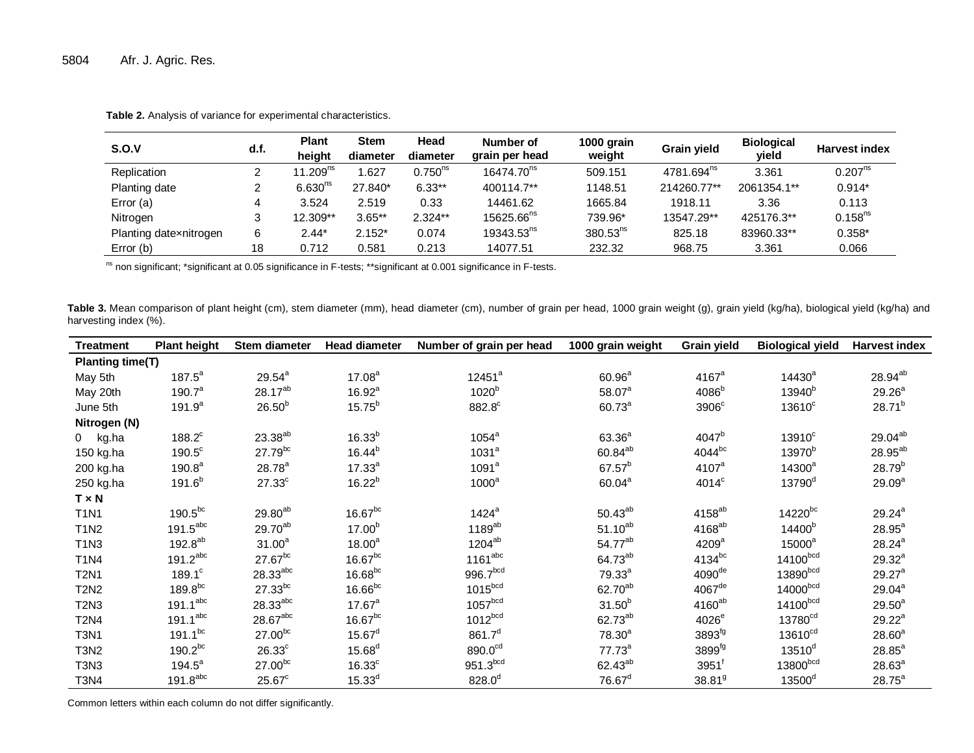| S.O.V                  | d.f. | <b>Plant</b><br>height | <b>Stem</b><br>diameter | Head<br>diameter | Number of<br>grain per head | 1000 grain<br>weight | Grain yield            | <b>Biological</b><br>yield | <b>Harvest index</b> |
|------------------------|------|------------------------|-------------------------|------------------|-----------------------------|----------------------|------------------------|----------------------------|----------------------|
| Replication            |      | 11.209 <sup>ns</sup>   | .627                    | $0.750^{ns}$     | 16474.70 <sup>ns</sup>      | 509.151              | 4781.694 <sup>ns</sup> | 3.361                      | $0.207^{ns}$         |
| Planting date          |      | 6.630 <sup>ns</sup>    | 27.840*                 | $6.33**$         | 400114.7**                  | 1148.51              | 214260.77**            | 2061354.1**                | $0.914*$             |
| Error (a)              | 4    | 3.524                  | 2.519                   | 0.33             | 14461.62                    | 1665.84              | 1918.11                | 3.36                       | 0.113                |
| Nitrogen               | 3    | 12.309**               | $3.65**$                | $2.324**$        | 15625.66 <sup>ns</sup>      | 739.96*              | 13547.29**             | 425176.3**                 | $0.158^{ns}$         |
| Planting datexnitrogen | 6    | $2.44*$                | $2.152*$                | 0.074            | 19343.53 <sup>ns</sup>      | $380.53^{ns}$        | 825.18                 | 83960.33**                 | $0.358*$             |
| Error (b)              | 18   | 0.712                  | 0.581                   | 0.213            | 14077.51                    | 232.32               | 968.75                 | 3.361                      | 0.066                |

**Table 2.** Analysis of variance for experimental characteristics.

ns non significant; \*significant at 0.05 significance in F-tests; \*\*significant at 0.001 significance in F-tests.

Table 3. Mean comparison of plant height (cm), stem diameter (mm), head diameter (cm), number of grain per head, 1000 grain weight (g), grain yield (kg/ha), biological yield (kg/ha) and harvesting index (%).

| <b>Treatment</b> | <b>Plant height</b>    | Stem diameter        | Head diameter      | Number of grain per head | 1000 grain weight    | <b>Grain yield</b>   | <b>Biological yield</b> | <b>Harvest index</b> |  |
|------------------|------------------------|----------------------|--------------------|--------------------------|----------------------|----------------------|-------------------------|----------------------|--|
| Planting time(T) |                        |                      |                    |                          |                      |                      |                         |                      |  |
| May 5th          | $187.5^a$              | $29.54^{a}$          | $17.08^a$          | $12451^a$                | $60.96^{\rm a}$      | $4167$ <sup>a</sup>  | $14430^a$               | 28.94 <sup>ab</sup>  |  |
| May 20th         | $190.7^a$              | 28.17 <sup>ab</sup>  | 16.92 <sup>a</sup> | 1020 <sup>b</sup>        | $58.07^{a}$          | 4086 <sup>b</sup>    | $13940^b$               | $29.26^{a}$          |  |
| June 5th         | $191.9^{a}$            | $26.50^{b}$          | $15.75^{b}$        | 882.8°                   | $60.73^{\circ}$      | 3906 <sup>c</sup>    | 13610 <sup>c</sup>      | $28.71^{b}$          |  |
| Nitrogen (N)     |                        |                      |                    |                          |                      |                      |                         |                      |  |
| 0 kg.ha          | $188.2^c$              | $23.38^{ab}$         | $16.33^{b}$        | $1054^a$                 | $63.36^{a}$          | $4047^b$             | 13910 <sup>c</sup>      | 29.04ab              |  |
| 150 kg.ha        | $190.5^{\circ}$        | $27.79^{bc}$         | $16.44^{b}$        | 1031 <sup>a</sup>        | $60.84^{ab}$         | 4044bc               | 13970 <sup>b</sup>      | $28.95^{ab}$         |  |
| 200 kg.ha        | 190.8 <sup>a</sup>     | $28.78^{a}$          | $17.33^{a}$        | 1091 <sup>a</sup>        | $67.57^{b}$          | 4107 <sup>a</sup>    | $14300^a$               | $28.79^{b}$          |  |
| 250 kg.ha        | $191.6^{b}$            | $27.33^c$            | $16.22^{b}$        | $1000^a$                 | $60.04^a$            | 4014 <sup>c</sup>    | $13790$ <sup>d</sup>    | 29.09 <sup>a</sup>   |  |
| $T \times N$     |                        |                      |                    |                          |                      |                      |                         |                      |  |
| <b>T1N1</b>      | $190.5^{bc}$           | $29.80^{ab}$         | $16.67^{bc}$       | 1424 <sup>a</sup>        | $50.43^{ab}$         | 4158 <sup>ab</sup>   | 14220bc                 | $29.24^{a}$          |  |
| <b>T1N2</b>      | $191.5^{\text{abc}}$   | 29.70 <sup>ab</sup>  | 17.00 <sup>b</sup> | $1189^{ab}$              | $51.10^{ab}$         | $4168^{ab}$          | 14400 <sup>b</sup>      | $28.95^{\text{a}}$   |  |
| <b>T1N3</b>      | $192.8^{ab}$           | $31.00^a$            | 18.00 <sup>a</sup> | $1204^{ab}$              | 54.77 <sup>ab</sup>  | 4209 <sup>a</sup>    | $15000^a$               | $28.24^{a}$          |  |
| <b>T1N4</b>      | $191.2$ <sup>abc</sup> | $27.67^{bc}$         | $16.67^{bc}$       | $1161^{\rm abc}$         | $64.73^{ab}$         | 4134bc               | 14100bcd                | $29.32^{a}$          |  |
| <b>T2N1</b>      | $189.1^c$              | $28.33^{abc}$        | $16.68^{bc}$       | 996.7bcd                 | $79.33^{a}$          | 4090 <sup>de</sup>   | $13890^{bcd}$           | $29.27^{\circ}$      |  |
| <b>T2N2</b>      | $189.8^{bc}$           | $27.33^{bc}$         | $16.66^{bc}$       | $1015^{bcd}$             | 62.70 <sup>ab</sup>  | $4067$ <sup>de</sup> | $14000$ <sup>bcd</sup>  | $29.04^a$            |  |
| <b>T2N3</b>      | 191.1 <sup>abc</sup>   | $28.33^{\text{abc}}$ | $17.67^a$          | 1057 <sup>bcd</sup>      | $31.50^{b}$          | 4160 <sup>ab</sup>   | $14100$ <sub>bcd</sub>  | $29.50^{a}$          |  |
| <b>T2N4</b>      | $191.1^\mathrm{abc}$   | $28.67^{\rm abc}$    | $16.67^{bc}$       | 1012 <sub>bcd</sub>      | 62.73 <sup>ab</sup>  | $4026^e$             | 13780 <sup>cd</sup>     | $29.22^a$            |  |
| <b>T3N1</b>      | $191.1^{bc}$           | $27.00^{bc}$         | $15.67^d$          | $861.7^{d}$              | 78.30 <sup>a</sup>   | 3893 <sup>fg</sup>   | 13610 <sup>cd</sup>     | $28.60^{a}$          |  |
| <b>T3N2</b>      | $190.2^{bc}$           | 26.33 <sup>c</sup>   | $15.68^{d}$        | 890.0 <sup>cd</sup>      | $77.73^a$            | 3899 <sup>fg</sup>   | $13510^d$               | $28.85^{a}$          |  |
| T3N3             | $194.5^a$              | $27.00^{bc}$         | 16.33 <sup>c</sup> | 951.3 <sup>bcd</sup>     | 62.43 <sup>ab</sup>  | $3951^6$             | 13800bcd                | $28.63^{a}$          |  |
| <b>T3N4</b>      | 191.8 <sup>abc</sup>   | $25.67^c$            | $15.33^{d}$        | $828.0^{d}$              | $76.67$ <sup>d</sup> | 38.81 <sup>9</sup>   | 13500 <sup>d</sup>      | $28.75^{\circ}$      |  |

Common letters within each column do not differ significantly.